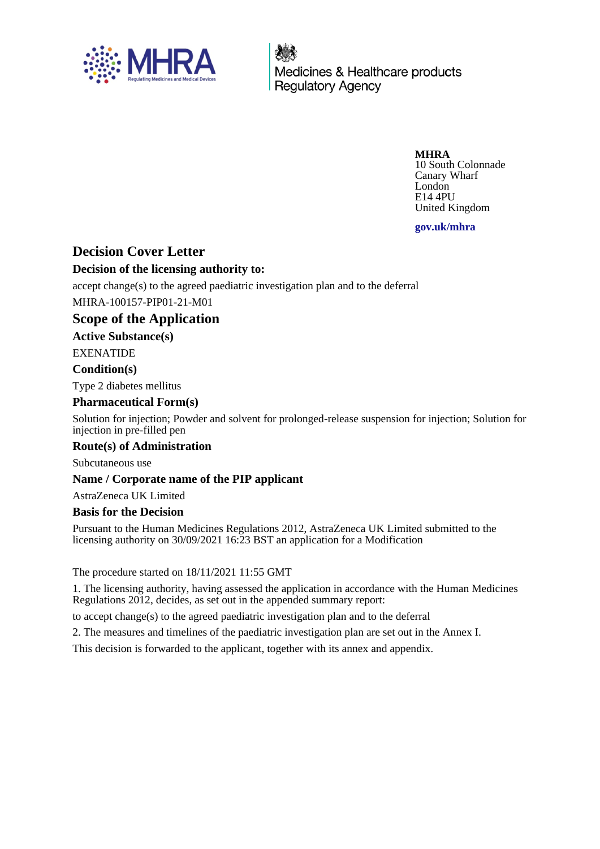

Medicines & Healthcare products **Regulatory Agency** 

**MHRA**

10 South Colonnade Canary Wharf London E14 4PU United Kingdom

**gov.uk/mhra**

## **Decision Cover Letter**

### **Decision of the licensing authority to:**

accept change(s) to the agreed paediatric investigation plan and to the deferral MHRA-100157-PIP01-21-M01

## **Scope of the Application**

### **Active Substance(s)**

EXENATIDE

### **Condition(s)**

Type 2 diabetes mellitus

#### **Pharmaceutical Form(s)**

Solution for injection; Powder and solvent for prolonged-release suspension for injection; Solution for injection in pre-filled pen

### **Route(s) of Administration**

Subcutaneous use

### **Name / Corporate name of the PIP applicant**

AstraZeneca UK Limited

### **Basis for the Decision**

Pursuant to the Human Medicines Regulations 2012, AstraZeneca UK Limited submitted to the licensing authority on 30/09/2021 16:23 BST an application for a Modification

The procedure started on 18/11/2021 11:55 GMT

1. The licensing authority, having assessed the application in accordance with the Human Medicines Regulations 2012, decides, as set out in the appended summary report:

to accept change(s) to the agreed paediatric investigation plan and to the deferral

2. The measures and timelines of the paediatric investigation plan are set out in the Annex I.

This decision is forwarded to the applicant, together with its annex and appendix.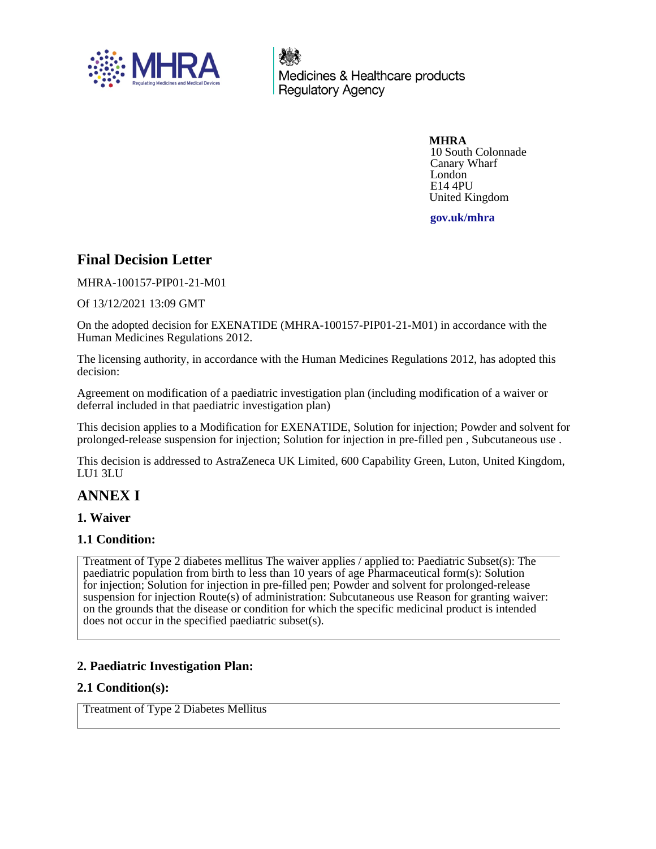

Medicines & Healthcare products **Regulatory Agency** 

> **MHRA** 10 South Colonnade Canary Wharf London E14 4PU United Kingdom

**gov.uk/mhra**

## **Final Decision Letter**

MHRA-100157-PIP01-21-M01

Of 13/12/2021 13:09 GMT

On the adopted decision for EXENATIDE (MHRA-100157-PIP01-21-M01) in accordance with the Human Medicines Regulations 2012.

The licensing authority, in accordance with the Human Medicines Regulations 2012, has adopted this decision:

Agreement on modification of a paediatric investigation plan (including modification of a waiver or deferral included in that paediatric investigation plan)

This decision applies to a Modification for EXENATIDE, Solution for injection; Powder and solvent for prolonged-release suspension for injection; Solution for injection in pre-filled pen , Subcutaneous use .

This decision is addressed to AstraZeneca UK Limited, 600 Capability Green, Luton, United Kingdom, LU1 3LU

## **ANNEX I**

### **1. Waiver**

### **1.1 Condition:**

Treatment of Type 2 diabetes mellitus The waiver applies / applied to: Paediatric Subset(s): The paediatric population from birth to less than 10 years of age Pharmaceutical form(s): Solution for injection; Solution for injection in pre-filled pen; Powder and solvent for prolonged-release suspension for injection Route(s) of administration: Subcutaneous use Reason for granting waiver: on the grounds that the disease or condition for which the specific medicinal product is intended does not occur in the specified paediatric subset(s).

## **2. Paediatric Investigation Plan:**

### **2.1 Condition(s):**

Treatment of Type 2 Diabetes Mellitus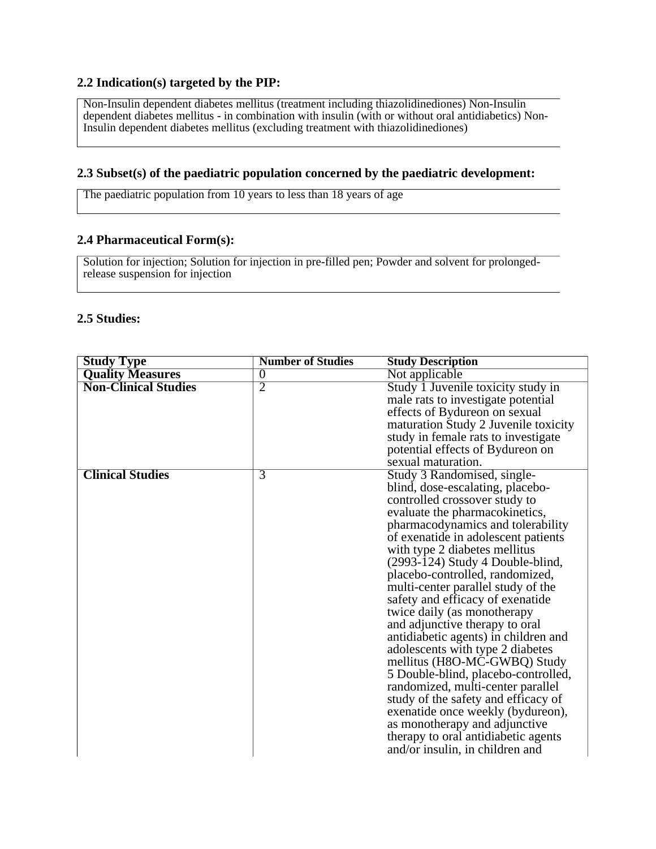#### **2.2 Indication(s) targeted by the PIP:**

Non-Insulin dependent diabetes mellitus (treatment including thiazolidinediones) Non-Insulin dependent diabetes mellitus - in combination with insulin (with or without oral antidiabetics) Non-Insulin dependent diabetes mellitus (excluding treatment with thiazolidinediones)

#### **2.3 Subset(s) of the paediatric population concerned by the paediatric development:**

The paediatric population from 10 years to less than 18 years of age

### **2.4 Pharmaceutical Form(s):**

Solution for injection; Solution for injection in pre-filled pen; Powder and solvent for prolongedrelease suspension for injection

### **2.5 Studies:**

| <b>Study Type</b>           | <b>Number of Studies</b> | <b>Study Description</b>                                                                                                                                                                                                                                                                                                                                                                                                                                                                                                                                                                                                                                                                                                                                                                                                                           |
|-----------------------------|--------------------------|----------------------------------------------------------------------------------------------------------------------------------------------------------------------------------------------------------------------------------------------------------------------------------------------------------------------------------------------------------------------------------------------------------------------------------------------------------------------------------------------------------------------------------------------------------------------------------------------------------------------------------------------------------------------------------------------------------------------------------------------------------------------------------------------------------------------------------------------------|
| <b>Quality Measures</b>     | $\overline{0}$           | Not applicable                                                                                                                                                                                                                                                                                                                                                                                                                                                                                                                                                                                                                                                                                                                                                                                                                                     |
| <b>Non-Clinical Studies</b> | $\overline{2}$           | Study 1 Juvenile toxicity study in<br>male rats to investigate potential<br>effects of Bydureon on sexual<br>maturation Study 2 Juvenile toxicity<br>study in female rats to investigate<br>potential effects of Bydureon on<br>sexual maturation.                                                                                                                                                                                                                                                                                                                                                                                                                                                                                                                                                                                                 |
| <b>Clinical Studies</b>     | $\overline{3}$           | Study 3 Randomised, single-<br>blind, dose-escalating, placebo-<br>controlled crossover study to<br>evaluate the pharmacokinetics,<br>pharmacodynamics and tolerability<br>of exenatide in adolescent patients<br>with type 2 diabetes mellitus<br>$(2993-124)$ Study 4 Double-blind,<br>placebo-controlled, randomized,<br>multi-center parallel study of the<br>safety and efficacy of exenatide<br>twice daily (as monotherapy<br>and adjunctive therapy to oral<br>antidiabetic agents) in children and<br>adolescents with type 2 diabetes<br>mellitus (H8O-MC-GWBQ) Study<br>5 Double-blind, placebo-controlled,<br>randomized, multi-center parallel<br>study of the safety and efficacy of<br>exenatide once weekly (bydureon),<br>as monotherapy and adjunctive<br>therapy to oral antidiabetic agents<br>and/or insulin, in children and |